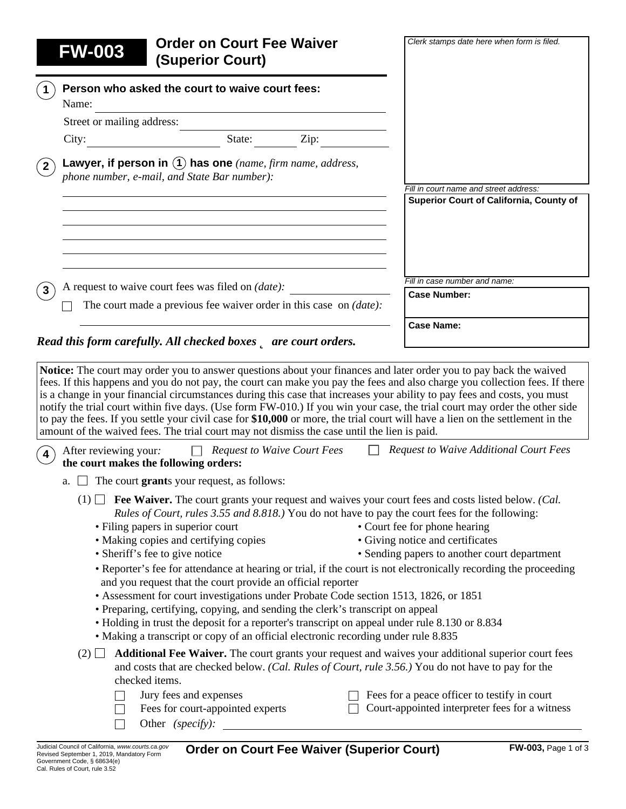| <b>FW-003</b>                                                                                                                              | <b>Order on Court Fee Waiver</b><br><b>(Superior Court)</b> |                                                                            | Clerk stamps date here when form is filed.                                                                                                                                                                                                                                                                                                                                                                                                                                                                                                                                                                                                                                                     |
|--------------------------------------------------------------------------------------------------------------------------------------------|-------------------------------------------------------------|----------------------------------------------------------------------------|------------------------------------------------------------------------------------------------------------------------------------------------------------------------------------------------------------------------------------------------------------------------------------------------------------------------------------------------------------------------------------------------------------------------------------------------------------------------------------------------------------------------------------------------------------------------------------------------------------------------------------------------------------------------------------------------|
| Person who asked the court to waive court fees:<br>Name:                                                                                   |                                                             |                                                                            |                                                                                                                                                                                                                                                                                                                                                                                                                                                                                                                                                                                                                                                                                                |
| Street or mailing address:                                                                                                                 |                                                             |                                                                            |                                                                                                                                                                                                                                                                                                                                                                                                                                                                                                                                                                                                                                                                                                |
| City:                                                                                                                                      | State:                                                      | Zip:                                                                       |                                                                                                                                                                                                                                                                                                                                                                                                                                                                                                                                                                                                                                                                                                |
| Lawyer, if person in $(1)$ has one (name, firm name, address,<br>$\mathbf{2}^{\mathsf{T}}$<br>phone number, e-mail, and State Bar number): |                                                             |                                                                            |                                                                                                                                                                                                                                                                                                                                                                                                                                                                                                                                                                                                                                                                                                |
|                                                                                                                                            |                                                             |                                                                            | Fill in court name and street address:<br>Superior Court of California, County of                                                                                                                                                                                                                                                                                                                                                                                                                                                                                                                                                                                                              |
|                                                                                                                                            |                                                             |                                                                            |                                                                                                                                                                                                                                                                                                                                                                                                                                                                                                                                                                                                                                                                                                |
| A request to waive court fees was filed on <i>(date)</i> :                                                                                 |                                                             |                                                                            | Fill in case number and name:                                                                                                                                                                                                                                                                                                                                                                                                                                                                                                                                                                                                                                                                  |
|                                                                                                                                            |                                                             | The court made a previous fee waiver order in this case on <i>(date)</i> : | <b>Case Number:</b>                                                                                                                                                                                                                                                                                                                                                                                                                                                                                                                                                                                                                                                                            |
|                                                                                                                                            |                                                             |                                                                            |                                                                                                                                                                                                                                                                                                                                                                                                                                                                                                                                                                                                                                                                                                |
| Read this form carefully. All checked boxes <b>D</b> are court orders.                                                                     |                                                             |                                                                            | <b>Case Name:</b>                                                                                                                                                                                                                                                                                                                                                                                                                                                                                                                                                                                                                                                                              |
| amount of the waived fees. The trial court may not dismiss the case until the lien is paid.                                                |                                                             |                                                                            | Notice: The court may order you to answer questions about your finances and later order you to pay back the waived<br>fees. If this happens and you do not pay, the court can make you pay the fees and also charge you collection fees. If there<br>is a change in your financial circumstances during this case that increases your ability to pay fees and costs, you must<br>notify the trial court within five days. (Use form FW-010.) If you win your case, the trial court may order the other side<br>to pay the fees. If you settle your civil case for \$10,000 or more, the trial court will have a lien on the settlement in the<br><b>Request to Waive Additional Court Fees</b> |
| After reviewing your:<br>the court makes the following orders:                                                                             |                                                             | <b>Request to Waive Court Fees</b>                                         |                                                                                                                                                                                                                                                                                                                                                                                                                                                                                                                                                                                                                                                                                                |
| a.                                                                                                                                         | The court grants your request, as follows:                  |                                                                            |                                                                                                                                                                                                                                                                                                                                                                                                                                                                                                                                                                                                                                                                                                |

| $(2)$ <b>Additional Fee Waiver.</b> The court grants your request and waives your additional superior court fees |
|------------------------------------------------------------------------------------------------------------------|
| and costs that are checked below. (Cal. Rules of Court, rule 3.56.) You do not have to pay for the               |
| checked items.                                                                                                   |
| $\sim$ $\sim$ $\sim$ $\sim$ $\sim$<br>$\Box$ $\Box$                                                              |

| $\Box$ Jury fees and expenses    | $\Box$ Fees for a peace officer to testify in court   |
|----------------------------------|-------------------------------------------------------|
| Fees for court-appointed experts | $\Box$ Court-appointed interpreter fees for a witness |
| Other <i>(specify)</i> :         |                                                       |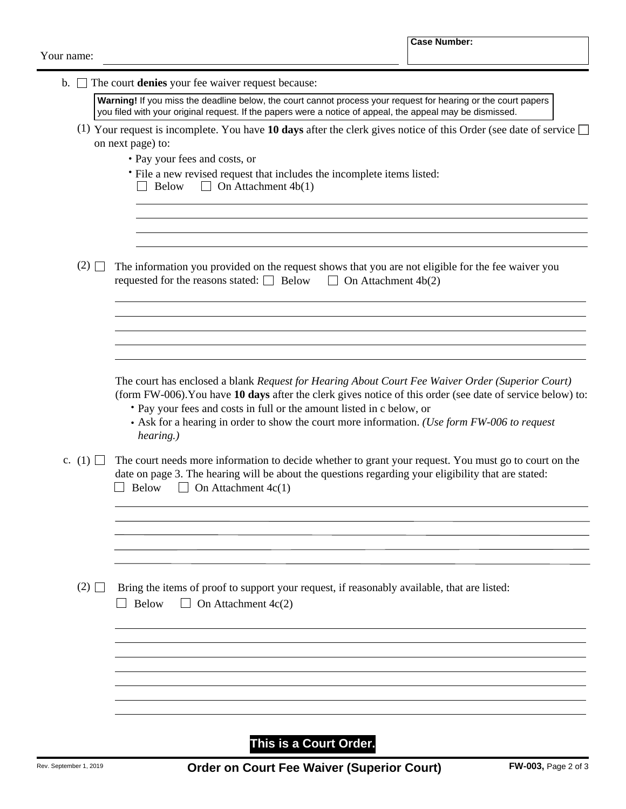| $\mathbf{b}$ . | The court denies your fee waiver request because:                                                                                                                                                                                                                                                                                                                                                    |
|----------------|------------------------------------------------------------------------------------------------------------------------------------------------------------------------------------------------------------------------------------------------------------------------------------------------------------------------------------------------------------------------------------------------------|
|                | Warning! If you miss the deadline below, the court cannot process your request for hearing or the court papers<br>you filed with your original request. If the papers were a notice of appeal, the appeal may be dismissed.                                                                                                                                                                          |
|                | (1) Your request is incomplete. You have 10 days after the clerk gives notice of this Order (see date of service $\Box$<br>on next page) to:                                                                                                                                                                                                                                                         |
|                | • Pay your fees and costs, or                                                                                                                                                                                                                                                                                                                                                                        |
|                | • File a new revised request that includes the incomplete items listed:<br>On Attachment $4b(1)$<br><b>Below</b><br>$\Box$                                                                                                                                                                                                                                                                           |
| (2)            |                                                                                                                                                                                                                                                                                                                                                                                                      |
|                | The information you provided on the request shows that you are not eligible for the fee waiver you<br>requested for the reasons stated: $\Box$ Below<br>$\Box$ On Attachment 4b(2)                                                                                                                                                                                                                   |
|                | The court has enclosed a blank Request for Hearing About Court Fee Waiver Order (Superior Court)<br>(form FW-006). You have 10 days after the clerk gives notice of this order (see date of service below) to:<br>• Pay your fees and costs in full or the amount listed in c below, or<br>• Ask for a hearing in order to show the court more information. (Use form FW-006 to request<br>hearing.) |
| c. (1) $\Box$  | The court needs more information to decide whether to grant your request. You must go to court on the<br>date on page 3. The hearing will be about the questions regarding your eligibility that are stated:<br>$\Box$ On Attachment 4c(1)<br>Below                                                                                                                                                  |
|                |                                                                                                                                                                                                                                                                                                                                                                                                      |
| (2)            | Bring the items of proof to support your request, if reasonably available, that are listed:<br>Below<br>$\Box$ On Attachment 4c(2)                                                                                                                                                                                                                                                                   |
|                |                                                                                                                                                                                                                                                                                                                                                                                                      |
|                |                                                                                                                                                                                                                                                                                                                                                                                                      |
|                |                                                                                                                                                                                                                                                                                                                                                                                                      |
|                |                                                                                                                                                                                                                                                                                                                                                                                                      |

**This is a Court Order.**